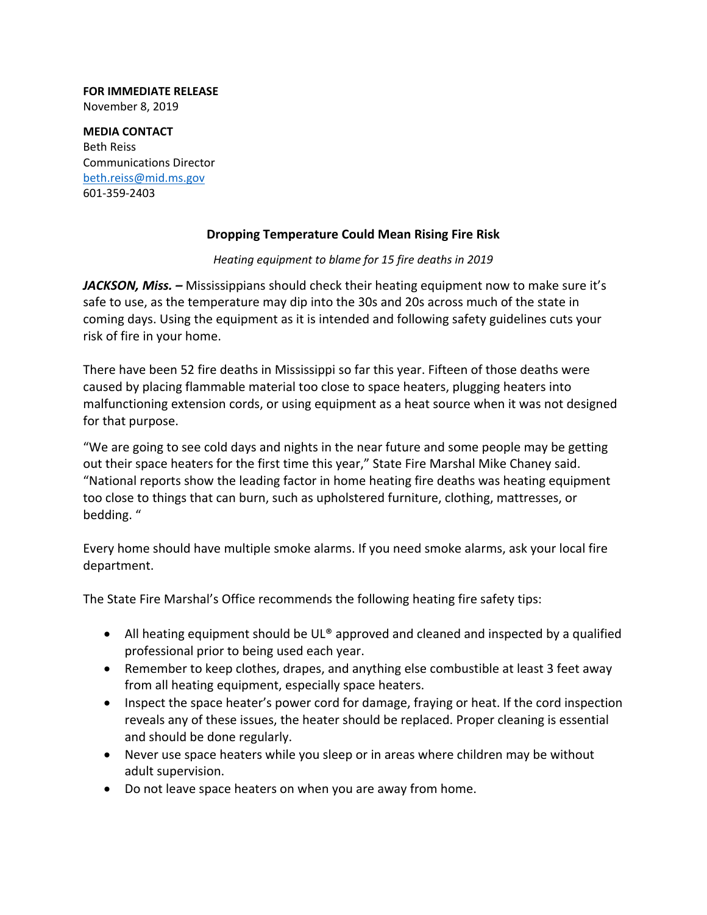## **FOR IMMEDIATE RELEASE** November 8, 2019

**MEDIA CONTACT** Beth Reiss Communications Director beth.reiss@mid.ms.gov 601‐359‐2403

## **Dropping Temperature Could Mean Rising Fire Risk**

## *Heating equipment to blame for 15 fire deaths in 2019*

*JACKSON, Miss. –* Mississippians should check their heating equipment now to make sure it's safe to use, as the temperature may dip into the 30s and 20s across much of the state in coming days. Using the equipment as it is intended and following safety guidelines cuts your risk of fire in your home.

There have been 52 fire deaths in Mississippi so far this year. Fifteen of those deaths were caused by placing flammable material too close to space heaters, plugging heaters into malfunctioning extension cords, or using equipment as a heat source when it was not designed for that purpose.

"We are going to see cold days and nights in the near future and some people may be getting out their space heaters for the first time this year," State Fire Marshal Mike Chaney said. "National reports show the leading factor in home heating fire deaths was heating equipment too close to things that can burn, such as upholstered furniture, clothing, mattresses, or bedding. "

Every home should have multiple smoke alarms. If you need smoke alarms, ask your local fire department.

The State Fire Marshal's Office recommends the following heating fire safety tips:

- All heating equipment should be UL® approved and cleaned and inspected by a qualified professional prior to being used each year.
- Remember to keep clothes, drapes, and anything else combustible at least 3 feet away from all heating equipment, especially space heaters.
- Inspect the space heater's power cord for damage, fraying or heat. If the cord inspection reveals any of these issues, the heater should be replaced. Proper cleaning is essential and should be done regularly.
- Never use space heaters while you sleep or in areas where children may be without adult supervision.
- Do not leave space heaters on when you are away from home.